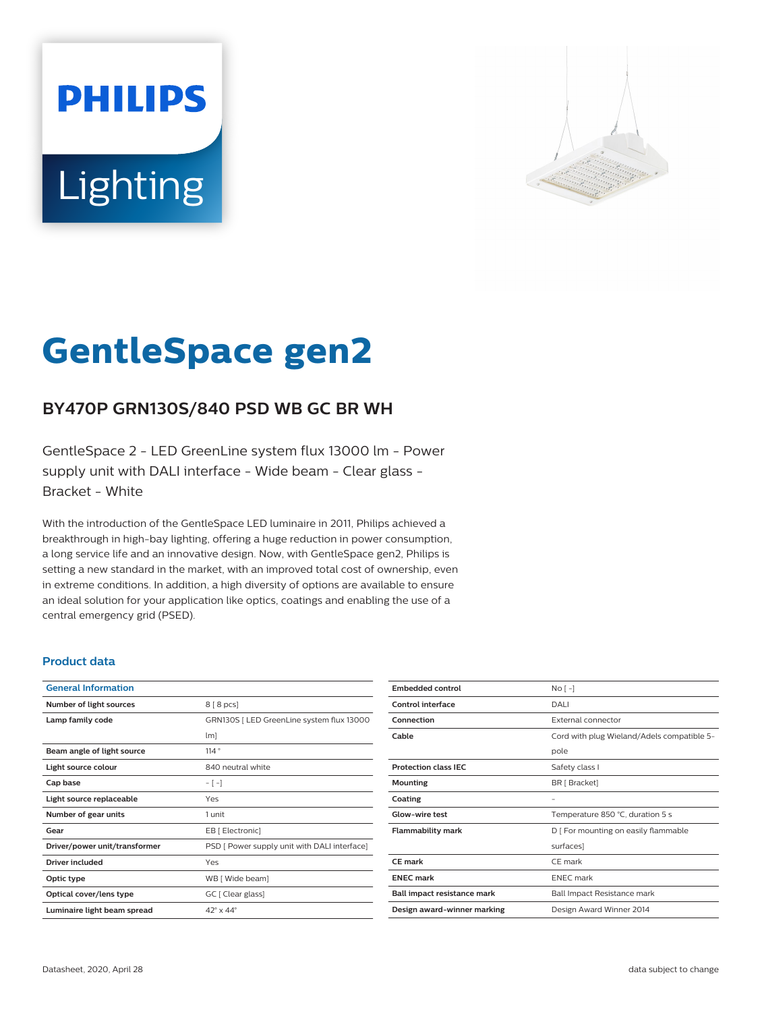# **PHILIPS Lighting**



# **GentleSpace gen2**

# **BY470P GRN130S/840 PSD WB GC BR WH**

GentleSpace 2 - LED GreenLine system flux 13000 lm - Power supply unit with DALI interface - Wide beam - Clear glass - Bracket - White

With the introduction of the GentleSpace LED luminaire in 2011, Philips achieved a breakthrough in high-bay lighting, offering a huge reduction in power consumption, a long service life and an innovative design. Now, with GentleSpace gen2, Philips is setting a new standard in the market, with an improved total cost of ownership, even in extreme conditions. In addition, a high diversity of options are available to ensure an ideal solution for your application like optics, coatings and enabling the use of a central emergency grid (PSED).

#### **Product data**

| <b>General Information</b>    |                                              |
|-------------------------------|----------------------------------------------|
| Number of light sources       | 8 [8 pcs]                                    |
| Lamp family code              | GRN130S   LED GreenLine system flux 13000    |
|                               | $\lfloor m \rfloor$                          |
| Beam angle of light source    | 114°                                         |
| Light source colour           | 840 neutral white                            |
| Cap base                      | $-[-]$                                       |
| Light source replaceable      | Yes                                          |
| Number of gear units          | 1 unit                                       |
| Gear                          | EB [ Electronic]                             |
| Driver/power unit/transformer | PSD [ Power supply unit with DALI interface] |
| <b>Driver included</b>        | Yes                                          |
| Optic type                    | WB [ Wide beam]                              |
| Optical cover/lens type       | GC [ Clear glass]                            |
| Luminaire light beam spread   | $42^\circ \times 44^\circ$                   |

| <b>Embedded control</b>     | $No[-]$                                    |
|-----------------------------|--------------------------------------------|
| Control interface           | DALI                                       |
| Connection                  | External connector                         |
| Cable                       | Cord with plug Wieland/Adels compatible 5- |
|                             | pole                                       |
| <b>Protection class IEC</b> | Safety class I                             |
| <b>Mounting</b>             | BR [ Bracket]                              |
| Coating                     | -                                          |
| Glow-wire test              | Temperature 850 °C, duration 5 s           |
| <b>Flammability mark</b>    | D   For mounting on easily flammable       |
|                             | surfaces]                                  |
| CF mark                     | CE mark                                    |
| <b>ENEC mark</b>            | <b>ENEC</b> mark                           |
| Ball impact resistance mark | Ball Impact Resistance mark                |
| Design award-winner marking | Design Award Winner 2014                   |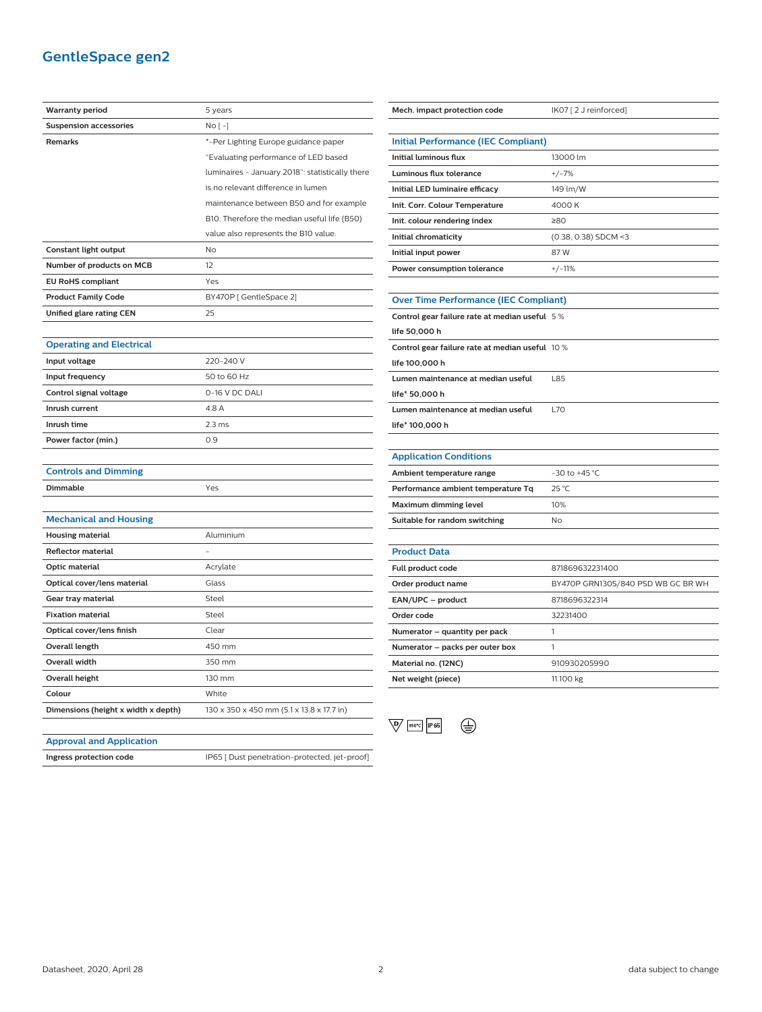## **GentleSpace gen2**

| <b>Suspension accessories</b><br>Remarks | No [ -]                                         |
|------------------------------------------|-------------------------------------------------|
|                                          |                                                 |
|                                          | *-Per Lighting Europe guidance paper            |
|                                          | "Evaluating performance of LED based            |
|                                          | luminaires - January 2018": statistically there |
|                                          | is no relevant difference in lumen              |
|                                          | maintenance between B50 and for example         |
|                                          | B10. Therefore the median useful life (B50)     |
|                                          | value also represents the B10 value.            |
| Constant light output                    | No                                              |
| Number of products on MCB                | 12                                              |
| <b>EU RoHS compliant</b>                 | Yes                                             |
| <b>Product Family Code</b>               | BY470P [ GentleSpace 2]                         |
| Unified glare rating CEN                 | 25                                              |
|                                          |                                                 |
| <b>Operating and Electrical</b>          |                                                 |
| Input voltage                            | 220-240 V                                       |
| Input frequency                          | 50 to 60 Hz                                     |
| Control signal voltage                   | 0-16 V DC DALI                                  |
| Inrush current                           | 4.8 A                                           |
| Inrush time                              | 2.3 <sub>ms</sub>                               |
| Power factor (min.)                      | 0.9                                             |
|                                          |                                                 |
| <b>Controls and Dimming</b>              |                                                 |
| <b>Dimmable</b>                          | Yes                                             |
|                                          |                                                 |
| <b>Mechanical and Housing</b>            |                                                 |
| <b>Housing material</b>                  | Aluminium                                       |
| <b>Reflector material</b>                |                                                 |
| Optic material                           | Acrylate                                        |
| Optical cover/lens material              | Glass                                           |
| Gear tray material                       | Steel                                           |
| <b>Fixation material</b>                 | Steel                                           |
| Optical cover/lens finish                | Clear                                           |
| Overall length                           | 450 mm                                          |
| <b>Overall width</b>                     | 350 mm                                          |
| <b>Overall height</b>                    | 130 mm                                          |
| Colour                                   | White                                           |
| Dimensions (height x width x depth)      | 130 x 350 x 450 mm (5.1 x 13.8 x 17.7 in)       |

| Mech. impact protection code                    | IK07 [2 J reinforced]              |  |
|-------------------------------------------------|------------------------------------|--|
|                                                 |                                    |  |
| <b>Initial Performance (IEC Compliant)</b>      |                                    |  |
| <b>Initial luminous flux</b>                    | 13000 lm                           |  |
| Luminous flux tolerance                         | $+/-7%$                            |  |
| Initial LED luminaire efficacy                  | 149 lm/W                           |  |
| Init. Corr. Colour Temperature                  | 4000 K                             |  |
| Init. colour rendering index                    | ≥80                                |  |
| Initial chromaticity                            | (0.38, 0.38) SDCM <3               |  |
| Initial input power                             | 87W                                |  |
| Power consumption tolerance                     | $+/-11%$                           |  |
|                                                 |                                    |  |
| <b>Over Time Performance (IEC Compliant)</b>    |                                    |  |
| Control gear failure rate at median useful 5%   |                                    |  |
| life 50,000 h                                   |                                    |  |
| Control gear failure rate at median useful 10 % |                                    |  |
| life 100,000 h                                  |                                    |  |
| Lumen maintenance at median useful              | L85                                |  |
| life* 50,000 h                                  |                                    |  |
| Lumen maintenance at median useful              | <b>L70</b>                         |  |
| life* 100,000 h                                 |                                    |  |
|                                                 |                                    |  |
| <b>Application Conditions</b>                   |                                    |  |
| Ambient temperature range                       | -30 to +45 °C                      |  |
| Performance ambient temperature Tq              | 25 °C                              |  |
| Maximum dimming level                           | 10%                                |  |
| Suitable for random switching                   | No                                 |  |
|                                                 |                                    |  |
| <b>Product Data</b>                             |                                    |  |
| Full product code                               | 871869632231400                    |  |
| Order product name                              | BY470P GRN130S/840 PSD WB GC BR WH |  |
| EAN/UPC - product                               | 8718696322314                      |  |
| Order code                                      | 32231400                           |  |
| Numerator – quantity per pack                   | 1                                  |  |
| Numerator - packs per outer box                 | 1                                  |  |
| Material no. (12NC)                             | 910930205990                       |  |



**Net weight (piece)** 11.100 kg

#### **Approval and Application**

**Ingress protection code IP65** [ Dust penetration-protected, jet-proof]